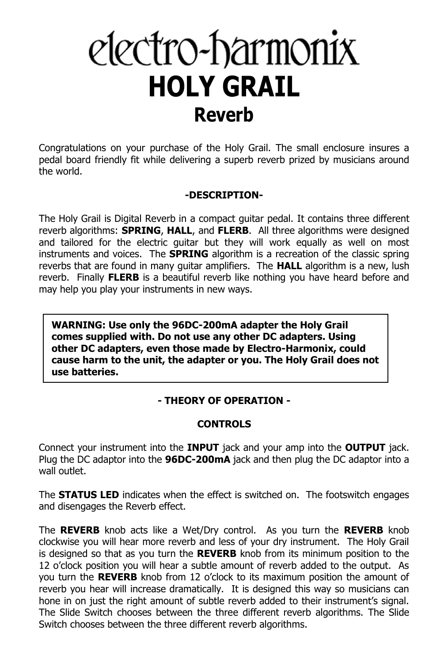# electro-harmonix **HOLY GRAIL Reverb**

Congratulations on your purchase of the Holy Grail. The small enclosure insures a pedal board friendly fit while delivering a superb reverb prized by musicians around the world.

#### **-DESCRIPTION-**

The Holy Grail is Digital Reverb in a compact guitar pedal. It contains three different reverb algorithms: **SPRING**, **HALL**, and **FLERB**. All three algorithms were designed and tailored for the electric guitar but they will work equally as well on most instruments and voices. The **SPRING** algorithm is a recreation of the classic spring reverbs that are found in many guitar amplifiers. The **HALL** algorithm is a new, lush reverb. Finally **FLERB** is a beautiful reverb like nothing you have heard before and may help you play your instruments in new ways.

**WARNING: Use only the 96DC-200mA adapter the Holy Grail comes supplied with. Do not use any other DC adapters. Using other DC adapters, even those made by Electro-Harmonix, could cause harm to the unit, the adapter or you. The Holy Grail does not use batteries.**

### **- THEORY OF OPERATION -**

#### **CONTROLS**

Connect your instrument into the **INPUT** jack and your amp into the **OUTPUT** jack. Plug the DC adaptor into the **96DC-200mA** jack and then plug the DC adaptor into a wall outlet.

The **STATUS LED** indicates when the effect is switched on. The footswitch engages and disengages the Reverb effect.

The **REVERB** knob acts like a Wet/Dry control. As you turn the **REVERB** knob clockwise you will hear more reverb and less of your dry instrument. The Holy Grail is designed so that as you turn the **REVERB** knob from its minimum position to the 12 o'clock position you will hear a subtle amount of reverb added to the output. As you turn the **REVERB** knob from 12 o'clock to its maximum position the amount of reverb you hear will increase dramatically. It is designed this way so musicians can hone in on just the right amount of subtle reverb added to their instrument's signal. The Slide Switch chooses between the three different reverb algorithms. The Slide Switch chooses between the three different reverb algorithms.